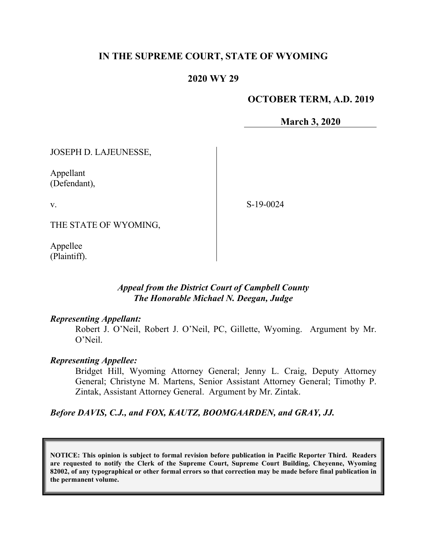## **IN THE SUPREME COURT, STATE OF WYOMING**

## **2020 WY 29**

## **OCTOBER TERM, A.D. 2019**

**March 3, 2020**

JOSEPH D. LAJEUNESSE,

Appellant (Defendant),

v.

S-19-0024

THE STATE OF WYOMING,

Appellee (Plaintiff).

## *Appeal from the District Court of Campbell County The Honorable Michael N. Deegan, Judge*

### *Representing Appellant:*

Robert J. O'Neil, Robert J. O'Neil, PC, Gillette, Wyoming. Argument by Mr. O'Neil.

### *Representing Appellee:*

Bridget Hill, Wyoming Attorney General; Jenny L. Craig, Deputy Attorney General; Christyne M. Martens, Senior Assistant Attorney General; Timothy P. Zintak, Assistant Attorney General. Argument by Mr. Zintak.

*Before DAVIS, C.J., and FOX, KAUTZ, BOOMGAARDEN, and GRAY, JJ.*

**NOTICE: This opinion is subject to formal revision before publication in Pacific Reporter Third. Readers are requested to notify the Clerk of the Supreme Court, Supreme Court Building, Cheyenne, Wyoming 82002, of any typographical or other formal errors so that correction may be made before final publication in the permanent volume.**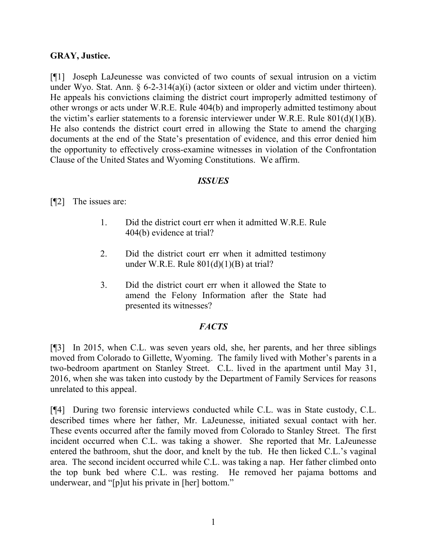### **GRAY, Justice.**

[¶1] Joseph LaJeunesse was convicted of two counts of sexual intrusion on a victim under Wyo. Stat. Ann.  $\S$  6-2-314(a)(i) (actor sixteen or older and victim under thirteen). He appeals his convictions claiming the district court improperly admitted testimony of other wrongs or acts under W.R.E. Rule 404(b) and improperly admitted testimony about the victim's earlier statements to a forensic interviewer under W.R.E. Rule  $801(d)(1)(B)$ . He also contends the district court erred in allowing the State to amend the charging documents at the end of the State's presentation of evidence, and this error denied him the opportunity to effectively cross-examine witnesses in violation of the Confrontation Clause of the United States and Wyoming Constitutions. We affirm.

### *ISSUES*

[¶2] The issues are:

- 1. Did the district court err when it admitted W.R.E. Rule 404(b) evidence at trial?
- 2. Did the district court err when it admitted testimony under W.R.E. Rule  $801(d)(1)(B)$  at trial?
- 3. Did the district court err when it allowed the State to amend the Felony Information after the State had presented its witnesses?

## *FACTS*

[¶3] In 2015, when C.L. was seven years old, she, her parents, and her three siblings moved from Colorado to Gillette, Wyoming. The family lived with Mother's parents in a two-bedroom apartment on Stanley Street. C.L. lived in the apartment until May 31, 2016, when she was taken into custody by the Department of Family Services for reasons unrelated to this appeal.

[¶4] During two forensic interviews conducted while C.L. was in State custody, C.L. described times where her father, Mr. LaJeunesse, initiated sexual contact with her. These events occurred after the family moved from Colorado to Stanley Street. The first incident occurred when C.L. was taking a shower. She reported that Mr. LaJeunesse entered the bathroom, shut the door, and knelt by the tub. He then licked C.L.'s vaginal area. The second incident occurred while C.L. was taking a nap. Her father climbed onto the top bunk bed where C.L. was resting. He removed her pajama bottoms and underwear, and "[p]ut his private in [her] bottom."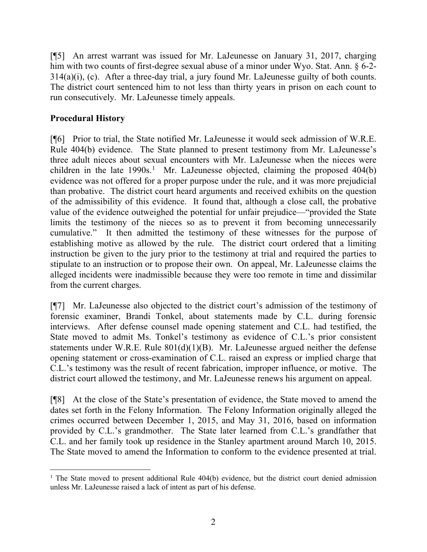[¶5] An arrest warrant was issued for Mr. LaJeunesse on January 31, 2017, charging him with two counts of first-degree sexual abuse of a minor under Wyo. Stat. Ann. § 6-2-314(a)(i), (c). After a three-day trial, a jury found Mr. LaJeunesse guilty of both counts. The district court sentenced him to not less than thirty years in prison on each count to run consecutively. Mr. LaJeunesse timely appeals.

# **Procedural History**

[¶6] Prior to trial, the State notified Mr. LaJeunesse it would seek admission of W.R.E. Rule 404(b) evidence. The State planned to present testimony from Mr. LaJeunesse's three adult nieces about sexual encounters with Mr. LaJeunesse when the nieces were children in the late  $1990s<sup>1</sup>$  $1990s<sup>1</sup>$  Mr. LaJeunesse objected, claiming the proposed  $404(b)$ evidence was not offered for a proper purpose under the rule, and it was more prejudicial than probative. The district court heard arguments and received exhibits on the question of the admissibility of this evidence. It found that, although a close call, the probative value of the evidence outweighed the potential for unfair prejudice—"provided the State limits the testimony of the nieces so as to prevent it from becoming unnecessarily cumulative." It then admitted the testimony of these witnesses for the purpose of establishing motive as allowed by the rule. The district court ordered that a limiting instruction be given to the jury prior to the testimony at trial and required the parties to stipulate to an instruction or to propose their own. On appeal, Mr. LaJeunesse claims the alleged incidents were inadmissible because they were too remote in time and dissimilar from the current charges.

[¶7] Mr. LaJeunesse also objected to the district court's admission of the testimony of forensic examiner, Brandi Tonkel, about statements made by C.L. during forensic interviews. After defense counsel made opening statement and C.L. had testified, the State moved to admit Ms. Tonkel's testimony as evidence of C.L.'s prior consistent statements under W.R.E. Rule 801(d)(1)(B). Mr. LaJeunesse argued neither the defense opening statement or cross-examination of C.L. raised an express or implied charge that C.L.'s testimony was the result of recent fabrication, improper influence, or motive. The district court allowed the testimony, and Mr. LaJeunesse renews his argument on appeal.

[¶8] At the close of the State's presentation of evidence, the State moved to amend the dates set forth in the Felony Information. The Felony Information originally alleged the crimes occurred between December 1, 2015, and May 31, 2016, based on information provided by C.L.'s grandmother. The State later learned from C.L.'s grandfather that C.L. and her family took up residence in the Stanley apartment around March 10, 2015. The State moved to amend the Information to conform to the evidence presented at trial.

<span id="page-2-0"></span><sup>&</sup>lt;sup>1</sup> The State moved to present additional Rule 404(b) evidence, but the district court denied admission unless Mr. LaJeunesse raised a lack of intent as part of his defense.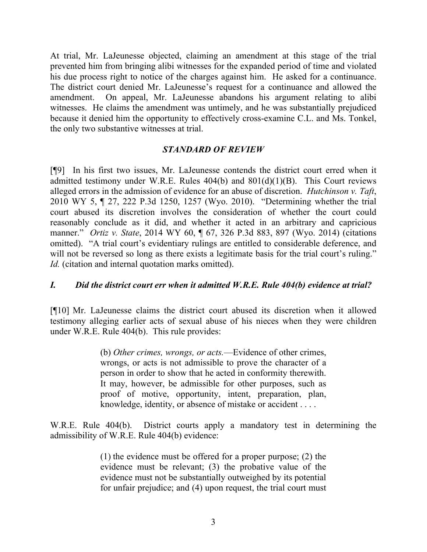At trial, Mr. LaJeunesse objected, claiming an amendment at this stage of the trial prevented him from bringing alibi witnesses for the expanded period of time and violated his due process right to notice of the charges against him. He asked for a continuance. The district court denied Mr. LaJeunesse's request for a continuance and allowed the amendment. On appeal, Mr. LaJeunesse abandons his argument relating to alibi witnesses. He claims the amendment was untimely, and he was substantially prejudiced because it denied him the opportunity to effectively cross-examine C.L. and Ms. Tonkel, the only two substantive witnesses at trial.

## *STANDARD OF REVIEW*

[¶9] In his first two issues, Mr. LaJeunesse contends the district court erred when it admitted testimony under W.R.E. Rules  $404(b)$  and  $801(d)(1)(B)$ . This Court reviews alleged errors in the admission of evidence for an abuse of discretion. *Hutchinson v. Taft*, 2010 WY 5, ¶ 27, 222 P.3d 1250, 1257 (Wyo. 2010). "Determining whether the trial court abused its discretion involves the consideration of whether the court could reasonably conclude as it did, and whether it acted in an arbitrary and capricious manner." *Ortiz v. State*, 2014 WY 60, ¶ 67, 326 P.3d 883, 897 (Wyo. 2014) (citations omitted). "A trial court's evidentiary rulings are entitled to considerable deference, and will not be reversed so long as there exists a legitimate basis for the trial court's ruling." *Id.* (citation and internal quotation marks omitted).

### *I. Did the district court err when it admitted W.R.E. Rule 404(b) evidence at trial?*

[¶10] Mr. LaJeunesse claims the district court abused its discretion when it allowed testimony alleging earlier acts of sexual abuse of his nieces when they were children under W.R.E. Rule 404(b). This rule provides:

> (b) *Other crimes, wrongs, or acts.*—Evidence of other crimes, wrongs, or acts is not admissible to prove the character of a person in order to show that he acted in conformity therewith. It may, however, be admissible for other purposes, such as proof of motive, opportunity, intent, preparation, plan, knowledge, identity, or absence of mistake or accident . . . .

W.R.E. Rule 404(b). District courts apply a mandatory test in determining the admissibility of W.R.E. Rule 404(b) evidence:

> (1) the evidence must be offered for a proper purpose; (2) the evidence must be relevant; (3) the probative value of the evidence must not be substantially outweighed by its potential for unfair prejudice; and (4) upon request, the trial court must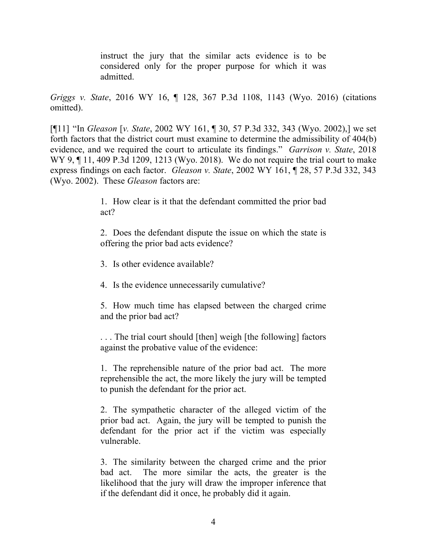instruct the jury that the similar acts evidence is to be considered only for the proper purpose for which it was admitted.

*Griggs v. State*, 2016 WY 16, ¶ 128, 367 P.3d 1108, 1143 (Wyo. 2016) (citations omitted).

[¶11] "In *Gleason* [*v. State*, 2002 WY 161, ¶ 30, 57 P.3d 332, 343 (Wyo. 2002),] we set forth factors that the district court must examine to determine the admissibility of 404(b) evidence, and we required the court to articulate its findings." *Garrison v. State*, 2018 WY 9, ¶ 11, 409 P.3d 1209, 1213 (Wyo. 2018). We do not require the trial court to make express findings on each factor. *Gleason v. State*, 2002 WY 161, ¶ 28, 57 P.3d 332, 343 (Wyo. 2002). These *Gleason* factors are:

> 1. How clear is it that the defendant committed the prior bad act?

> 2. Does the defendant dispute the issue on which the state is offering the prior bad acts evidence?

3. Is other evidence available?

4. Is the evidence unnecessarily cumulative?

5. How much time has elapsed between the charged crime and the prior bad act?

. . . The trial court should [then] weigh [the following] factors against the probative value of the evidence:

1. The reprehensible nature of the prior bad act. The more reprehensible the act, the more likely the jury will be tempted to punish the defendant for the prior act.

2. The sympathetic character of the alleged victim of the prior bad act. Again, the jury will be tempted to punish the defendant for the prior act if the victim was especially vulnerable.

3. The similarity between the charged crime and the prior bad act. The more similar the acts, the greater is the likelihood that the jury will draw the improper inference that if the defendant did it once, he probably did it again.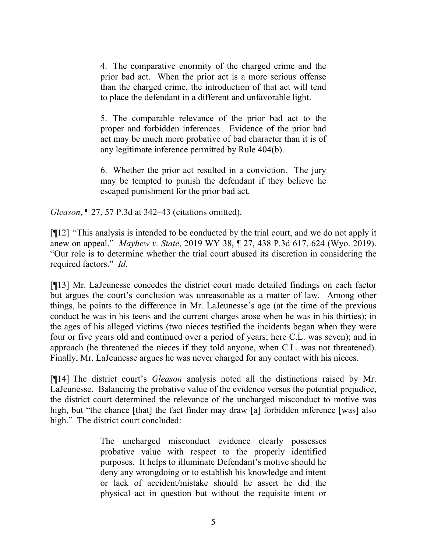4. The comparative enormity of the charged crime and the prior bad act. When the prior act is a more serious offense than the charged crime, the introduction of that act will tend to place the defendant in a different and unfavorable light.

5. The comparable relevance of the prior bad act to the proper and forbidden inferences. Evidence of the prior bad act may be much more probative of bad character than it is of any legitimate inference permitted by Rule 404(b).

6. Whether the prior act resulted in a conviction. The jury may be tempted to punish the defendant if they believe he escaped punishment for the prior bad act.

*Gleason*, ¶ 27, 57 P.3d at 342–43 (citations omitted).

[¶12] "This analysis is intended to be conducted by the trial court, and we do not apply it anew on appeal." *Mayhew v. State*, 2019 WY 38, ¶ 27, 438 P.3d 617, 624 (Wyo. 2019). "Our role is to determine whether the trial court abused its discretion in considering the required factors." *Id.*

[¶13] Mr. LaJeunesse concedes the district court made detailed findings on each factor but argues the court's conclusion was unreasonable as a matter of law. Among other things, he points to the difference in Mr. LaJeunesse's age (at the time of the previous conduct he was in his teens and the current charges arose when he was in his thirties); in the ages of his alleged victims (two nieces testified the incidents began when they were four or five years old and continued over a period of years; here C.L. was seven); and in approach (he threatened the nieces if they told anyone, when C.L. was not threatened). Finally, Mr. LaJeunesse argues he was never charged for any contact with his nieces.

[¶14] The district court's *Gleason* analysis noted all the distinctions raised by Mr. LaJeunesse. Balancing the probative value of the evidence versus the potential prejudice, the district court determined the relevance of the uncharged misconduct to motive was high, but "the chance [that] the fact finder may draw [a] forbidden inference [was] also high." The district court concluded:

> The uncharged misconduct evidence clearly possesses probative value with respect to the properly identified purposes. It helps to illuminate Defendant's motive should he deny any wrongdoing or to establish his knowledge and intent or lack of accident/mistake should he assert he did the physical act in question but without the requisite intent or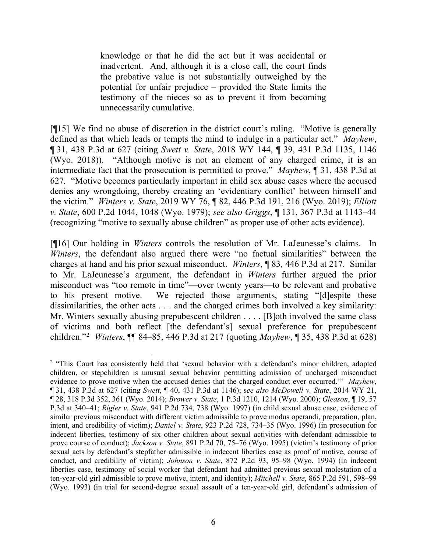knowledge or that he did the act but it was accidental or inadvertent. And, although it is a close call, the court finds the probative value is not substantially outweighed by the potential for unfair prejudice – provided the State limits the testimony of the nieces so as to prevent it from becoming unnecessarily cumulative.

[¶15] We find no abuse of discretion in the district court's ruling. "Motive is generally defined as that which leads or tempts the mind to indulge in a particular act." *Mayhew*, ¶ 31, 438 P.3d at 627 (citing *Swett v. State*, 2018 WY 144, ¶ 39, 431 P.3d 1135, 1146 (Wyo. 2018)). "Although motive is not an element of any charged crime, it is an intermediate fact that the prosecution is permitted to prove." *Mayhew*, ¶ 31, 438 P.3d at 627*.* "Motive becomes particularly important in child sex abuse cases where the accused denies any wrongdoing, thereby creating an 'evidentiary conflict' between himself and the victim." *Winters v. State*, 2019 WY 76, ¶ 82, 446 P.3d 191, 216 (Wyo. 2019); *Elliott v. State*, 600 P.2d 1044, 1048 (Wyo. 1979); *see also Griggs*, ¶ 131, 367 P.3d at 1143–44 (recognizing "motive to sexually abuse children" as proper use of other acts evidence).

[¶16] Our holding in *Winters* controls the resolution of Mr. LaJeunesse's claims. In *Winters*, the defendant also argued there were "no factual similarities" between the charges at hand and his prior sexual misconduct. *Winters*, ¶ 83, 446 P.3d at 217. Similar to Mr. LaJeunesse's argument, the defendant in *Winters* further argued the prior misconduct was "too remote in time"—over twenty years—to be relevant and probative to his present motive. We rejected those arguments, stating "[d]espite these dissimilarities, the other acts . . . and the charged crimes both involved a key similarity: Mr. Winters sexually abusing prepubescent children . . . . [B]oth involved the same class of victims and both reflect [the defendant's] sexual preference for prepubescent children."[2](#page-6-0) *Winters*, ¶¶ 84–85, 446 P.3d at 217 (quoting *Mayhew*, ¶ 35, 438 P.3d at 628)

<span id="page-6-0"></span><sup>&</sup>lt;sup>2</sup> "This Court has consistently held that 'sexual behavior with a defendant's minor children, adopted children, or stepchildren is unusual sexual behavior permitting admission of uncharged misconduct evidence to prove motive when the accused denies that the charged conduct ever occurred.'" *Mayhew*, ¶ 31, 438 P.3d at 627 (citing *Swett*, ¶ 40, 431 P.3d at 1146); s*ee also McDowell v. State*, 2014 WY 21, ¶ 28, 318 P.3d 352, 361 (Wyo. 2014); *Brower v. State*, 1 P.3d 1210, 1214 (Wyo. 2000); *Gleason*, ¶ 19, 57 P.3d at 340–41; *Rigler v. State*, 941 P.2d 734, 738 (Wyo. 1997) (in child sexual abuse case, evidence of similar previous misconduct with different victim admissible to prove modus operandi, preparation, plan, intent, and credibility of victim); *Daniel v. State*, 923 P.2d 728, 734–35 (Wyo. 1996) (in prosecution for indecent liberties, testimony of six other children about sexual activities with defendant admissible to prove course of conduct); *Jackson v. State*, 891 P.2d 70, 75–76 (Wyo. 1995) (victim's testimony of prior sexual acts by defendant's stepfather admissible in indecent liberties case as proof of motive, course of conduct, and credibility of victim); *Johnson v. State*, 872 P.2d 93, 95–98 (Wyo. 1994) (in indecent liberties case, testimony of social worker that defendant had admitted previous sexual molestation of a ten-year-old girl admissible to prove motive, intent, and identity); *Mitchell v. State*, 865 P.2d 591, 598–99 (Wyo. 1993) (in trial for second-degree sexual assault of a ten-year-old girl, defendant's admission of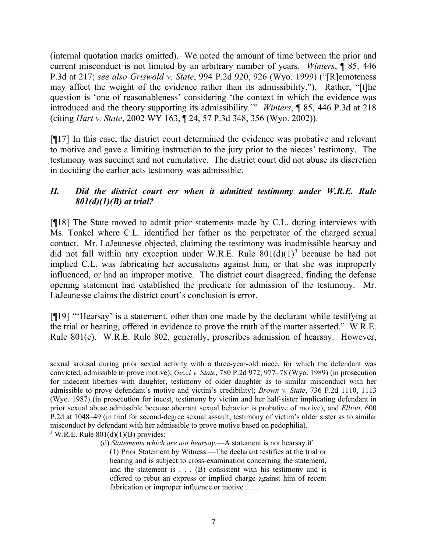(internal quotation marks omitted). We noted the amount of time between the prior and current misconduct is not limited by an arbitrary number of years. *Winters*, ¶ 85, 446 P.3d at 217; *see also Griswold v. State*, 994 P.2d 920, 926 (Wyo. 1999) ("[R]emoteness may affect the weight of the evidence rather than its admissibility."). Rather, "[t]he question is 'one of reasonableness' considering 'the context in which the evidence was introduced and the theory supporting its admissibility.'" *Winters*, ¶ 85, 446 P.3d at 218 (citing *Hart v. State*, 2002 WY 163, ¶ 24, 57 P.3d 348, 356 (Wyo. 2002)).

[¶17] In this case, the district court determined the evidence was probative and relevant to motive and gave a limiting instruction to the jury prior to the nieces' testimony. The testimony was succinct and not cumulative. The district court did not abuse its discretion in deciding the earlier acts testimony was admissible.

## *II. Did the district court err when it admitted testimony under W.R.E. Rule 801(d)(1)(B) at trial?*

[¶18] The State moved to admit prior statements made by C.L. during interviews with Ms. Tonkel where C.L. identified her father as the perpetrator of the charged sexual contact. Mr. LaJeunesse objected, claiming the testimony was inadmissible hearsay and did not fall within any exception under W.R.E. Rule  $801(d)(1)^3$  $801(d)(1)^3$  because he had not implied C.L. was fabricating her accusations against him, or that she was improperly influenced, or had an improper motive. The district court disagreed, finding the defense opening statement had established the predicate for admission of the testimony. Mr. LaJeunesse claims the district court's conclusion is error.

[¶19] "'Hearsay' is a statement, other than one made by the declarant while testifying at the trial or hearing, offered in evidence to prove the truth of the matter asserted." W.R.E. Rule 801(c). W.R.E. Rule 802, generally, proscribes admission of hearsay. However,

<span id="page-7-0"></span> $3$  W.R.E. Rule  $801(d)(1)(B)$  provides:

sexual arousal during prior sexual activity with a three-year-old niece, for which the defendant was convicted, admissible to prove motive); *Gezzi v. State*, 780 P.2d 972, 977–78 (Wyo. 1989) (in prosecution for indecent liberties with daughter, testimony of older daughter as to similar misconduct with her admissible to prove defendant's motive and victim's credibility); *Brown v. State*, 736 P.2d 1110, 1113 (Wyo. 1987) (in prosecution for incest, testimony by victim and her half-sister implicating defendant in prior sexual abuse admissible because aberrant sexual behavior is probative of motive); and *Elliott*, 600 P.2d at 1048–49 (in trial for second-degree sexual assault, testimony of victim's older sister as to similar misconduct by defendant with her admissible to prove motive based on pedophilia).

<sup>(</sup>d) *Statements which are not hearsay.*—A statement is not hearsay if:

<sup>(1)</sup> Prior Statement by Witness.—The declarant testifies at the trial or hearing and is subject to cross-examination concerning the statement, and the statement is . . . (B) consistent with his testimony and is offered to rebut an express or implied charge against him of recent fabrication or improper influence or motive . . . .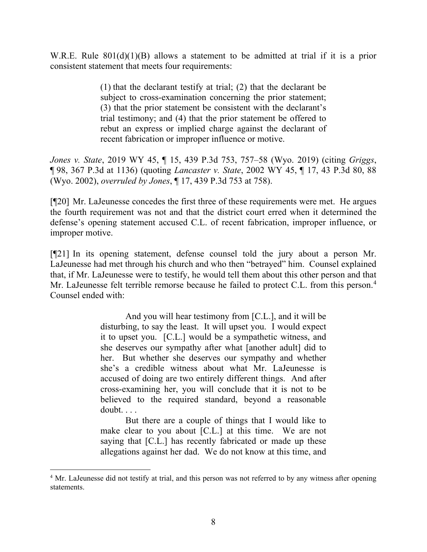W.R.E. Rule 801(d)(1)(B) allows a statement to be admitted at trial if it is a prior consistent statement that meets four requirements:

> (1) that the declarant testify at trial; (2) that the declarant be subject to cross-examination concerning the prior statement; (3) that the prior statement be consistent with the declarant's trial testimony; and (4) that the prior statement be offered to rebut an express or implied charge against the declarant of recent fabrication or improper influence or motive.

*Jones v. State*, 2019 WY 45, ¶ 15, 439 P.3d 753, 757–58 (Wyo. 2019) (citing *Griggs*, ¶ 98, 367 P.3d at 1136) (quoting *Lancaster v. State*, 2002 WY 45, ¶ 17, 43 P.3d 80, 88 (Wyo. 2002), *overruled by Jones*, ¶ 17, 439 P.3d 753 at 758).

[¶20] Mr. LaJeunesse concedes the first three of these requirements were met. He argues the fourth requirement was not and that the district court erred when it determined the defense's opening statement accused C.L. of recent fabrication, improper influence, or improper motive.

[¶21] In its opening statement, defense counsel told the jury about a person Mr. LaJeunesse had met through his church and who then "betrayed" him. Counsel explained that, if Mr. LaJeunesse were to testify, he would tell them about this other person and that Mr. LaJeunesse felt terrible remorse because he failed to protect C.L. from this person. [4](#page-8-0) Counsel ended with:

> And you will hear testimony from [C.L.], and it will be disturbing, to say the least. It will upset you. I would expect it to upset you. [C.L.] would be a sympathetic witness, and she deserves our sympathy after what [another adult] did to her. But whether she deserves our sympathy and whether she's a credible witness about what Mr. LaJeunesse is accused of doing are two entirely different things. And after cross-examining her, you will conclude that it is not to be believed to the required standard, beyond a reasonable doubt. . . .

> But there are a couple of things that I would like to make clear to you about [C.L.] at this time. We are not saying that [C.L.] has recently fabricated or made up these allegations against her dad. We do not know at this time, and

<span id="page-8-0"></span><sup>&</sup>lt;sup>4</sup> Mr. LaJeunesse did not testify at trial, and this person was not referred to by any witness after opening statements.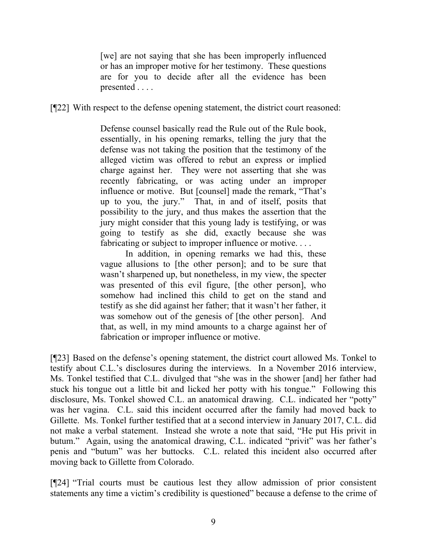[we] are not saying that she has been improperly influenced or has an improper motive for her testimony. These questions are for you to decide after all the evidence has been presented . . . .

[¶22] With respect to the defense opening statement, the district court reasoned:

Defense counsel basically read the Rule out of the Rule book, essentially, in his opening remarks, telling the jury that the defense was not taking the position that the testimony of the alleged victim was offered to rebut an express or implied charge against her. They were not asserting that she was recently fabricating, or was acting under an improper influence or motive. But [counsel] made the remark, "That's up to you, the jury." That, in and of itself, posits that possibility to the jury, and thus makes the assertion that the jury might consider that this young lady is testifying, or was going to testify as she did, exactly because she was fabricating or subject to improper influence or motive....

In addition, in opening remarks we had this, these vague allusions to [the other person]; and to be sure that wasn't sharpened up, but nonetheless, in my view, the specter was presented of this evil figure, [the other person], who somehow had inclined this child to get on the stand and testify as she did against her father; that it wasn't her father, it was somehow out of the genesis of [the other person]. And that, as well, in my mind amounts to a charge against her of fabrication or improper influence or motive.

[¶23] Based on the defense's opening statement, the district court allowed Ms. Tonkel to testify about C.L.'s disclosures during the interviews. In a November 2016 interview, Ms. Tonkel testified that C.L. divulged that "she was in the shower [and] her father had stuck his tongue out a little bit and licked her potty with his tongue." Following this disclosure, Ms. Tonkel showed C.L. an anatomical drawing. C.L. indicated her "potty" was her vagina. C.L. said this incident occurred after the family had moved back to Gillette. Ms. Tonkel further testified that at a second interview in January 2017, C.L. did not make a verbal statement. Instead she wrote a note that said, "He put His privit in butum." Again, using the anatomical drawing, C.L. indicated "privit" was her father's penis and "butum" was her buttocks. C.L. related this incident also occurred after moving back to Gillette from Colorado.

[¶24] "Trial courts must be cautious lest they allow admission of prior consistent statements any time a victim's credibility is questioned" because a defense to the crime of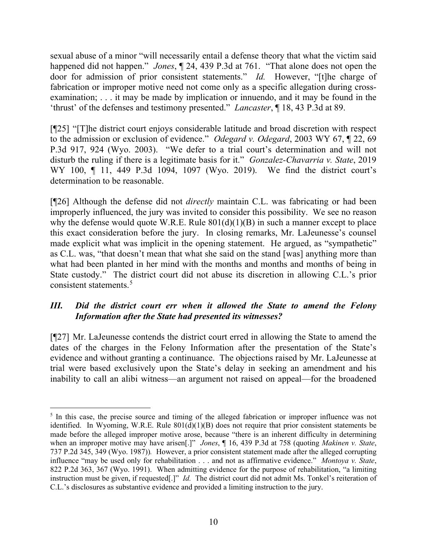sexual abuse of a minor "will necessarily entail a defense theory that what the victim said happened did not happen." *Jones*, ¶ 24, 439 P.3d at 761. "That alone does not open the door for admission of prior consistent statements." *Id.* However, "[t]he charge of fabrication or improper motive need not come only as a specific allegation during crossexamination; . . . it may be made by implication or innuendo, and it may be found in the 'thrust' of the defenses and testimony presented." *Lancaster*, ¶ 18, 43 P.3d at 89.

[¶25] "[T]he district court enjoys considerable latitude and broad discretion with respect to the admission or exclusion of evidence." *Odegard v. Odegard*, 2003 WY 67, ¶ 22, 69 P.3d 917, 924 (Wyo. 2003). "We defer to a trial court's determination and will not disturb the ruling if there is a legitimate basis for it." *Gonzalez-Chavarria v. State*, 2019 WY 100, ¶ 11, 449 P.3d 1094, 1097 (Wyo. 2019). We find the district court's determination to be reasonable.

[¶26] Although the defense did not *directly* maintain C.L. was fabricating or had been improperly influenced, the jury was invited to consider this possibility. We see no reason why the defense would quote W.R.E. Rule  $801(d)(1)(B)$  in such a manner except to place this exact consideration before the jury. In closing remarks, Mr. LaJeunesse's counsel made explicit what was implicit in the opening statement. He argued, as "sympathetic" as C.L. was, "that doesn't mean that what she said on the stand [was] anything more than what had been planted in her mind with the months and months and months of being in State custody." The district court did not abuse its discretion in allowing C.L.'s prior consistent statements.[5](#page-10-0)

# *III. Did the district court err when it allowed the State to amend the Felony Information after the State had presented its witnesses?*

[¶27] Mr. LaJeunesse contends the district court erred in allowing the State to amend the dates of the charges in the Felony Information after the presentation of the State's evidence and without granting a continuance. The objections raised by Mr. LaJeunesse at trial were based exclusively upon the State's delay in seeking an amendment and his inability to call an alibi witness—an argument not raised on appeal—for the broadened

<span id="page-10-0"></span><sup>&</sup>lt;sup>5</sup> In this case, the precise source and timing of the alleged fabrication or improper influence was not identified. In Wyoming, W.R.E. Rule 801(d)(1)(B) does not require that prior consistent statements be made before the alleged improper motive arose, because "there is an inherent difficulty in determining when an improper motive may have arisen[.]" *Jones*, ¶ 16, 439 P.3d at 758 (quoting *Makinen v. State*, 737 P.2d 345, 349 (Wyo. 1987))*.* However, a prior consistent statement made after the alleged corrupting influence "may be used only for rehabilitation . . . and not as affirmative evidence." *Montoya v. State*, 822 P.2d 363, 367 (Wyo. 1991). When admitting evidence for the purpose of rehabilitation, "a limiting instruction must be given, if requested[.]" *Id.* The district court did not admit Ms. Tonkel's reiteration of C.L.'s disclosures as substantive evidence and provided a limiting instruction to the jury.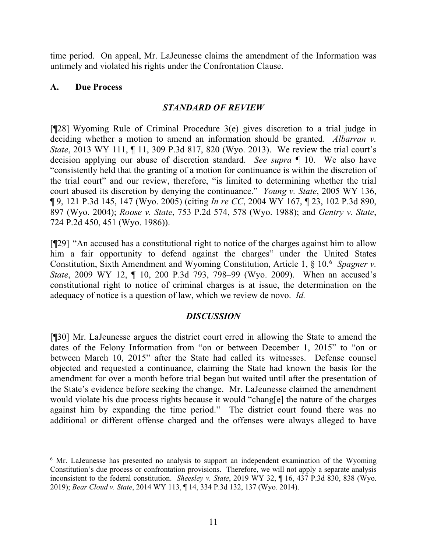time period. On appeal, Mr. LaJeunesse claims the amendment of the Information was untimely and violated his rights under the Confrontation Clause.

## **A. Due Process**

## *STANDARD OF REVIEW*

[¶28] Wyoming Rule of Criminal Procedure 3(e) gives discretion to a trial judge in deciding whether a motion to amend an information should be granted. *Albarran v. State*, 2013 WY 111, ¶ 11, 309 P.3d 817, 820 (Wyo. 2013). We review the trial court's decision applying our abuse of discretion standard. *See supra* ¶ 10. We also have "consistently held that the granting of a motion for continuance is within the discretion of the trial court" and our review, therefore, "is limited to determining whether the trial court abused its discretion by denying the continuance." *Young v. State*, 2005 WY 136, ¶ 9, 121 P.3d 145, 147 (Wyo. 2005) (citing *In re CC*, 2004 WY 167, ¶ 23, 102 P.3d 890, 897 (Wyo. 2004); *Roose v. State*, 753 P.2d 574, 578 (Wyo. 1988); and *Gentry v. State*, 724 P.2d 450, 451 (Wyo. 1986)).

[¶29] "An accused has a constitutional right to notice of the charges against him to allow him a fair opportunity to defend against the charges" under the United States Constitution, Sixth Amendment and Wyoming Constitution, Article 1, § 10. [6](#page-11-0) *Spagner v. State*, 2009 WY 12, ¶ 10, 200 P.3d 793, 798–99 (Wyo. 2009). When an accused's constitutional right to notice of criminal charges is at issue, the determination on the adequacy of notice is a question of law, which we review de novo. *Id.*

## *DISCUSSION*

[¶30] Mr. LaJeunesse argues the district court erred in allowing the State to amend the dates of the Felony Information from "on or between December 1, 2015" to "on or between March 10, 2015" after the State had called its witnesses. Defense counsel objected and requested a continuance, claiming the State had known the basis for the amendment for over a month before trial began but waited until after the presentation of the State's evidence before seeking the change. Mr. LaJeunesse claimed the amendment would violate his due process rights because it would "chang[e] the nature of the charges against him by expanding the time period." The district court found there was no additional or different offense charged and the offenses were always alleged to have

<span id="page-11-0"></span><sup>&</sup>lt;sup>6</sup> Mr. LaJeunesse has presented no analysis to support an independent examination of the Wyoming Constitution's due process or confrontation provisions. Therefore, we will not apply a separate analysis inconsistent to the federal constitution. *Sheesley v. State*, 2019 WY 32, ¶ 16, 437 P.3d 830, 838 (Wyo. 2019); *Bear Cloud v. State*, 2014 WY 113, ¶ 14, 334 P.3d 132, 137 (Wyo. 2014).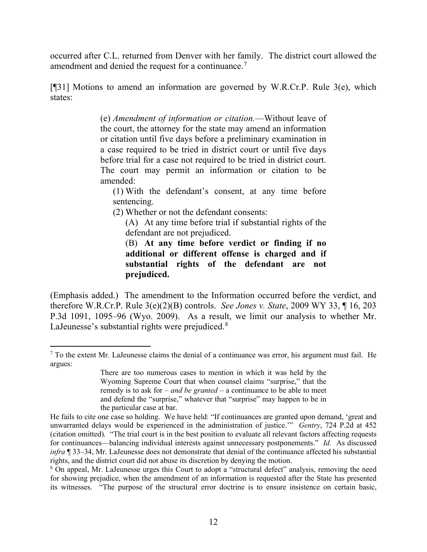occurred after C.L. returned from Denver with her family. The district court allowed the amendment and denied the request for a continuance.[7](#page-12-0)

[¶31] Motions to amend an information are governed by W.R.Cr.P. Rule 3(e), which states:

> (e) *Amendment of information or citation.*—Without leave of the court, the attorney for the state may amend an information or citation until five days before a preliminary examination in a case required to be tried in district court or until five days before trial for a case not required to be tried in district court. The court may permit an information or citation to be amended:

(1) With the defendant's consent, at any time before sentencing.

(2) Whether or not the defendant consents:

(A) At any time before trial if substantial rights of the defendant are not prejudiced.

(B) **At any time before verdict or finding if no additional or different offense is charged and if substantial rights of the defendant are not prejudiced.**

(Emphasis added.) The amendment to the Information occurred before the verdict, and therefore W.R.Cr.P. Rule 3(e)(2)(B) controls. *See Jones v. State*, 2009 WY 33, ¶ 16, 203 P.3d 1091, 1095–96 (Wyo. 2009). As a result, we limit our analysis to whether Mr. LaJeunesse's substantial rights were prejudiced.<sup>[8](#page-12-1)</sup>

<span id="page-12-0"></span> $<sup>7</sup>$  To the extent Mr. LaJeunesse claims the denial of a continuance was error, his argument must fail. He</sup> argues:

There are too numerous cases to mention in which it was held by the Wyoming Supreme Court that when counsel claims "surprise," that the remedy is to ask for – *and be granted* – a continuance to be able to meet and defend the "surprise," whatever that "surprise" may happen to be in the particular case at bar.

He fails to cite one case so holding. We have held: "If continuances are granted upon demand, 'great and unwarranted delays would be experienced in the administration of justice.'" *Gentry*, 724 P.2d at 452 (citation omitted). "The trial court is in the best position to evaluate all relevant factors affecting requests for continuances—balancing individual interests against unnecessary postponements." *Id.* As discussed *infra* ¶ 33–34, Mr. LaJeunesse does not demonstrate that denial of the continuance affected his substantial rights, and the district court did not abuse its discretion by denying the motion.

<span id="page-12-1"></span><sup>8</sup> On appeal, Mr. LaJeunesse urges this Court to adopt a "structural defect" analysis, removing the need for showing prejudice, when the amendment of an information is requested after the State has presented its witnesses. "The purpose of the structural error doctrine is to ensure insistence on certain basic,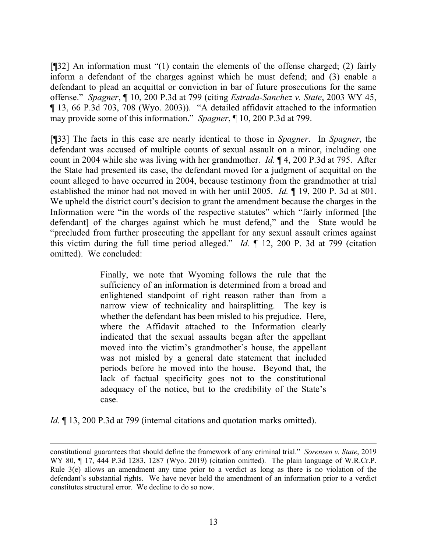[¶32] An information must "(1) contain the elements of the offense charged; (2) fairly inform a defendant of the charges against which he must defend; and (3) enable a defendant to plead an acquittal or conviction in bar of future prosecutions for the same offense." *Spagner*, ¶ 10, 200 P.3d at 799 (citing *Estrada-Sanchez v. State*, 2003 WY 45, ¶ 13, 66 P.3d 703, 708 (Wyo. 2003)). "A detailed affidavit attached to the information may provide some of this information." *Spagner*, ¶ 10, 200 P.3d at 799.

[¶33] The facts in this case are nearly identical to those in *Spagner*. In *Spagner*, the defendant was accused of multiple counts of sexual assault on a minor, including one count in 2004 while she was living with her grandmother. *Id.* ¶ 4, 200 P.3d at 795. After the State had presented its case, the defendant moved for a judgment of acquittal on the count alleged to have occurred in 2004, because testimony from the grandmother at trial established the minor had not moved in with her until 2005. *Id.* ¶ 19, 200 P. 3d at 801. We upheld the district court's decision to grant the amendment because the charges in the Information were "in the words of the respective statutes" which "fairly informed [the defendant] of the charges against which he must defend," and the State would be "precluded from further prosecuting the appellant for any sexual assault crimes against this victim during the full time period alleged." *Id.* ¶ 12, 200 P. 3d at 799 (citation omitted). We concluded:

> Finally, we note that Wyoming follows the rule that the sufficiency of an information is determined from a broad and enlightened standpoint of right reason rather than from a narrow view of technicality and hairsplitting. The key is whether the defendant has been misled to his prejudice. Here, where the Affidavit attached to the Information clearly indicated that the sexual assaults began after the appellant moved into the victim's grandmother's house, the appellant was not misled by a general date statement that included periods before he moved into the house. Beyond that, the lack of factual specificity goes not to the constitutional adequacy of the notice, but to the credibility of the State's case.

*Id.* 13, 200 P.3d at 799 (internal citations and quotation marks omitted).

constitutional guarantees that should define the framework of any criminal trial." *Sorensen v. State*, 2019 WY 80, ¶ 17, 444 P.3d 1283, 1287 (Wyo. 2019) (citation omitted). The plain language of W.R.Cr.P. Rule 3(e) allows an amendment any time prior to a verdict as long as there is no violation of the defendant's substantial rights. We have never held the amendment of an information prior to a verdict constitutes structural error. We decline to do so now.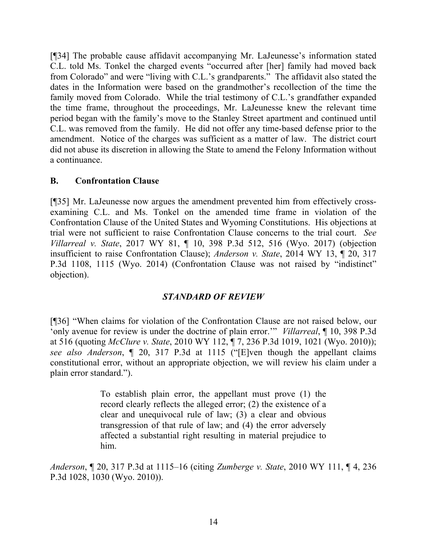[¶34] The probable cause affidavit accompanying Mr. LaJeunesse's information stated C.L. told Ms. Tonkel the charged events "occurred after [her] family had moved back from Colorado" and were "living with C.L.'s grandparents." The affidavit also stated the dates in the Information were based on the grandmother's recollection of the time the family moved from Colorado. While the trial testimony of C.L.'s grandfather expanded the time frame, throughout the proceedings, Mr. LaJeunesse knew the relevant time period began with the family's move to the Stanley Street apartment and continued until C.L. was removed from the family. He did not offer any time-based defense prior to the amendment. Notice of the charges was sufficient as a matter of law. The district court did not abuse its discretion in allowing the State to amend the Felony Information without a continuance.

## **B. Confrontation Clause**

[¶35] Mr. LaJeunesse now argues the amendment prevented him from effectively crossexamining C.L. and Ms. Tonkel on the amended time frame in violation of the Confrontation Clause of the United States and Wyoming Constitutions. His objections at trial were not sufficient to raise Confrontation Clause concerns to the trial court. *See Villarreal v. State*, 2017 WY 81, ¶ 10, 398 P.3d 512, 516 (Wyo. 2017) (objection insufficient to raise Confrontation Clause); *Anderson v. State*, 2014 WY 13, ¶ 20, 317 P.3d 1108, 1115 (Wyo. 2014) (Confrontation Clause was not raised by "indistinct" objection).

## *STANDARD OF REVIEW*

[¶36] "When claims for violation of the Confrontation Clause are not raised below, our 'only avenue for review is under the doctrine of plain error.'" *Villarreal*, ¶ 10, 398 P.3d at 516 (quoting *McClure v. State*, 2010 WY 112, ¶ 7, 236 P.3d 1019, 1021 (Wyo. 2010)); *see also Anderson*, ¶ 20, 317 P.3d at 1115 ("[E]ven though the appellant claims constitutional error, without an appropriate objection, we will review his claim under a plain error standard.").

> To establish plain error, the appellant must prove (1) the record clearly reflects the alleged error; (2) the existence of a clear and unequivocal rule of law; (3) a clear and obvious transgression of that rule of law; and (4) the error adversely affected a substantial right resulting in material prejudice to him.

*Anderson*, ¶ 20, 317 P.3d at 1115–16 (citing *Zumberge v. State*, 2010 WY 111, ¶ 4, 236 P.3d 1028, 1030 (Wyo. 2010)).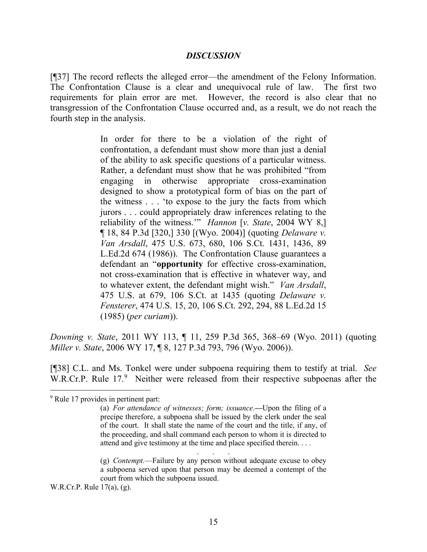#### *DISCUSSION*

[¶37] The record reflects the alleged error—the amendment of the Felony Information. The Confrontation Clause is a clear and unequivocal rule of law. The first two requirements for plain error are met. However, the record is also clear that no transgression of the Confrontation Clause occurred and, as a result, we do not reach the fourth step in the analysis.

> In order for there to be a violation of the right of confrontation, a defendant must show more than just a denial of the ability to ask specific questions of a particular witness. Rather, a defendant must show that he was prohibited "from engaging in otherwise appropriate cross-examination designed to show a prototypical form of bias on the part of the witness . . . 'to expose to the jury the facts from which jurors . . . could appropriately draw inferences relating to the reliability of the witness.'" *Hannon* [*v. State*, 2004 WY 8,] ¶ 18, 84 P.3d [320,] 330 [(Wyo. 2004)] (quoting *Delaware v. Van Arsdall*, 475 U.S. 673, 680, 106 S.Ct. 1431, 1436, 89 L.Ed.2d 674 (1986)). The Confrontation Clause guarantees a defendant an "**opportunity** for effective cross-examination, not cross-examination that is effective in whatever way, and to whatever extent, the defendant might wish." *Van Arsdall*, 475 U.S. at 679, 106 S.Ct. at 1435 (quoting *Delaware v. Fensterer*, 474 U.S. 15, 20, 106 S.Ct. 292, 294, 88 L.Ed.2d 15 (1985) (*per curiam*)).

*Downing v. State*, 2011 WY 113, ¶ 11, 259 P.3d 365, 368–69 (Wyo. 2011) (quoting *Miller v. State*, 2006 WY 17, ¶ 8, 127 P.3d 793, 796 (Wyo. 2006)).

[¶38] C.L. and Ms. Tonkel were under subpoena requiring them to testify at trial. *See* W.R.Cr.P. Rule 17.[9](#page-15-0) Neither were released from their respective subpoenas after the

. . .

W.R.Cr.P. Rule 17(a), (g).

<span id="page-15-0"></span><sup>&</sup>lt;sup>9</sup> Rule 17 provides in pertinent part:

<sup>(</sup>a) *For attendance of witnesses; form; issuance.***—**Upon the filing of a precipe therefore, a subpoena shall be issued by the clerk under the seal of the court. It shall state the name of the court and the title, if any, of the proceeding, and shall command each person to whom it is directed to attend and give testimony at the time and place specified therein. . . .

<sup>(</sup>g) *Contempt.*—Failure by any person without adequate excuse to obey a subpoena served upon that person may be deemed a contempt of the court from which the subpoena issued.